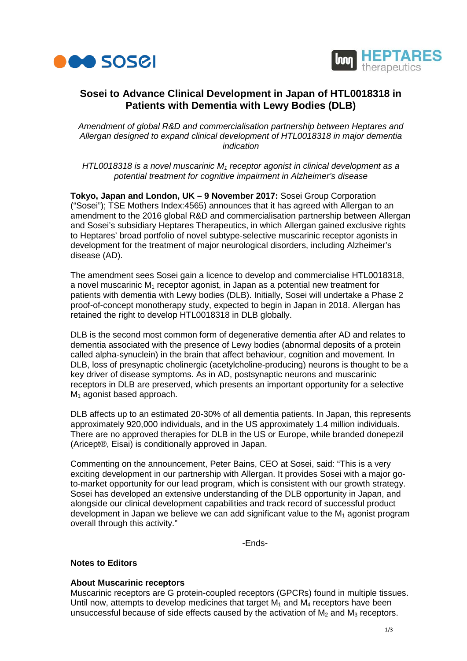



# **Sosei to Advance Clinical Development in Japan of HTL0018318 in Patients with Dementia with Lewy Bodies (DLB)**

*Amendment of global R&D and commercialisation partnership between Heptares and Allergan designed to expand clinical development of HTL0018318 in major dementia indication* 

*HTL0018318 is a novel muscarinic M1 receptor agonist in clinical development as a potential treatment for cognitive impairment in Alzheimer's disease*

**Tokyo, Japan and London, UK – 9 November 2017:** Sosei Group Corporation ("Sosei"); TSE Mothers Index:4565) announces that it has agreed with Allergan to an amendment to the 2016 global R&D and commercialisation partnership between Allergan and Sosei's subsidiary Heptares Therapeutics, in which Allergan gained exclusive rights to Heptares' broad portfolio of novel subtype-selective muscarinic receptor agonists in development for the treatment of major neurological disorders, including Alzheimer's disease (AD).

The amendment sees Sosei gain a licence to develop and commercialise HTL0018318, a novel muscarinic  $M_1$  receptor agonist, in Japan as a potential new treatment for patients with dementia with Lewy bodies (DLB). Initially, Sosei will undertake a Phase 2 proof-of-concept monotherapy study, expected to begin in Japan in 2018. Allergan has retained the right to develop HTL0018318 in DLB globally.

DLB is the second most common form of degenerative dementia after AD and relates to dementia associated with the presence of Lewy bodies (abnormal deposits of a protein called alpha-synuclein) in the brain that affect behaviour, cognition and movement. In DLB, loss of presynaptic cholinergic (acetylcholine-producing) neurons is thought to be a key driver of disease symptoms. As in AD, postsynaptic neurons and muscarinic receptors in DLB are preserved, which presents an important opportunity for a selective M<sub>1</sub> agonist based approach.

DLB affects up to an estimated 20-30% of all dementia patients. In Japan, this represents approximately 920,000 individuals, and in the US approximately 1.4 million individuals. There are no approved therapies for DLB in the US or Europe, while branded donepezil (Aricept®, Eisai) is conditionally approved in Japan.

Commenting on the announcement, Peter Bains, CEO at Sosei, said: "This is a very exciting development in our partnership with Allergan. It provides Sosei with a major goto-market opportunity for our lead program, which is consistent with our growth strategy. Sosei has developed an extensive understanding of the DLB opportunity in Japan, and alongside our clinical development capabilities and track record of successful product development in Japan we believe we can add significant value to the  $M_1$  agonist program overall through this activity."

-Ends-

## **Notes to Editors**

## **About Muscarinic receptors**

Muscarinic receptors are G protein-coupled receptors (GPCRs) found in multiple tissues. Until now, attempts to develop medicines that target  $M_1$  and  $M_4$  receptors have been unsuccessful because of side effects caused by the activation of  $M_2$  and  $M_3$  receptors.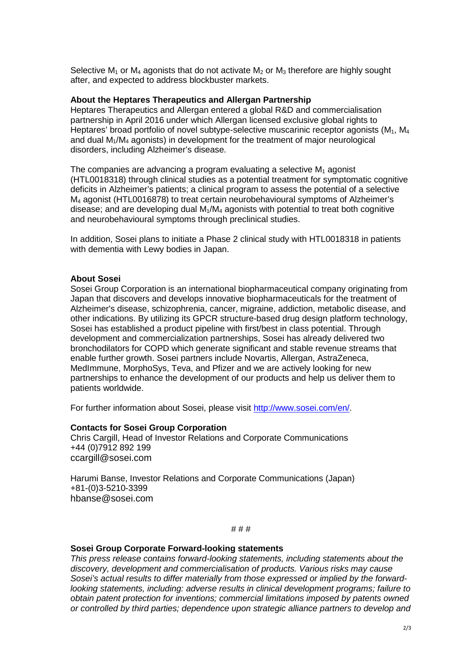Selective  $M_1$  or  $M_4$  agonists that do not activate  $M_2$  or  $M_3$  therefore are highly sought after, and expected to address blockbuster markets.

### **About the Heptares Therapeutics and Allergan Partnership**

Heptares Therapeutics and Allergan entered a global R&D and commercialisation partnership in April 2016 under which Allergan licensed exclusive global rights to Heptares' broad portfolio of novel subtype-selective muscarinic receptor agonists  $(M_1, M_4)$ and dual M1/M4 agonists) in development for the treatment of major neurological disorders, including Alzheimer's disease.

The companies are advancing a program evaluating a selective  $M_1$  agonist (HTL0018318) through clinical studies as a potential treatment for symptomatic cognitive deficits in Alzheimer's patients; a clinical program to assess the potential of a selective M4 agonist (HTL0016878) to treat certain neurobehavioural symptoms of Alzheimer's disease; and are developing dual  $M_1/M_4$  agonists with potential to treat both cognitive and neurobehavioural symptoms through preclinical studies.

In addition, Sosei plans to initiate a Phase 2 clinical study with HTL0018318 in patients with dementia with Lewy bodies in Japan.

### **About Sosei**

Sosei Group Corporation is an international biopharmaceutical company originating from Japan that discovers and develops innovative biopharmaceuticals for the treatment of Alzheimer's disease, schizophrenia, cancer, migraine, addiction, metabolic disease, and other indications. By utilizing its GPCR structure-based drug design platform technology, Sosei has established a product pipeline with first/best in class potential. Through development and commercialization partnerships, Sosei has already delivered two bronchodilators for COPD which generate significant and stable revenue streams that enable further growth. Sosei partners include Novartis, Allergan, AstraZeneca, MedImmune, MorphoSys, Teva, and Pfizer and we are actively looking for new partnerships to enhance the development of our products and help us deliver them to patients worldwide.

For further information about Sosei, please visit [http://www.sosei.com/en/.](http://www.sosei.com/en/)

#### **Contacts for Sosei Group Corporation**

Chris Cargill, Head of Investor Relations and Corporate Communications +44 (0)7912 892 199 [ccargill@sosei.com](mailto:ccargill@sosei.com)

Harumi Banse, Investor Relations and Corporate Communications (Japan) +81-(0)3-5210-3399 [hbanse@sosei.com](mailto:hbanse@sosei.com)

# # #

#### **Sosei Group Corporate Forward-looking statements**

*This press release contains forward-looking statements, including statements about the discovery, development and commercialisation of products. Various risks may cause Sosei's actual results to differ materially from those expressed or implied by the forwardlooking statements, including: adverse results in clinical development programs; failure to obtain patent protection for inventions; commercial limitations imposed by patents owned or controlled by third parties; dependence upon strategic alliance partners to develop and*